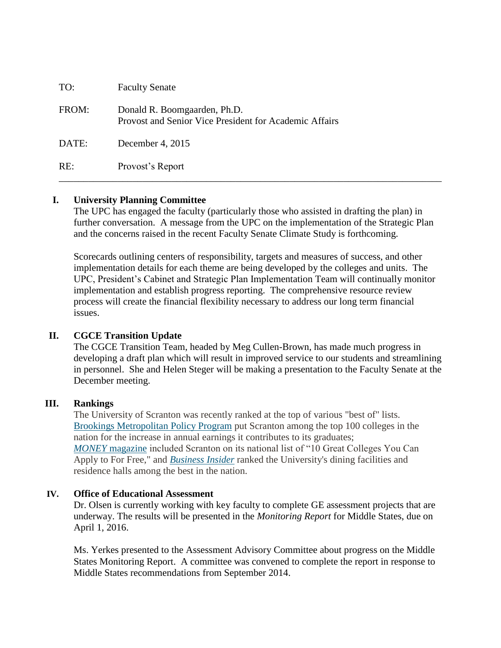| TO:   | <b>Faculty Senate</b>                                                                  |
|-------|----------------------------------------------------------------------------------------|
| FROM: | Donald R. Boomgaarden, Ph.D.<br>Provost and Senior Vice President for Academic Affairs |
| DATE: | December 4, 2015                                                                       |
| RE:   | Provost's Report                                                                       |

### **I. University Planning Committee**

The UPC has engaged the faculty (particularly those who assisted in drafting the plan) in further conversation. A message from the UPC on the implementation of the Strategic Plan and the concerns raised in the recent Faculty Senate Climate Study is forthcoming.

Scorecards outlining centers of responsibility, targets and measures of success, and other implementation details for each theme are being developed by the colleges and units. The UPC, President's Cabinet and Strategic Plan Implementation Team will continually monitor implementation and establish progress reporting. The comprehensive resource review process will create the financial flexibility necessary to address our long term financial issues.

## **II. CGCE Transition Update**

The CGCE Transition Team, headed by Meg Cullen-Brown, has made much progress in developing a draft plan which will result in improved service to our students and streamlining in personnel. She and Helen Steger will be making a presentation to the Faculty Senate at the December meeting.

### **III. Rankings**

The University of Scranton was recently ranked at the top of various "best of" lists. Brookings [Metropolitan](http://www.scranton.edu/news/royalnews/releases/2015/11/11/rankings-nov-2015.shtml#brookings) Policy Program put Scranton among the top 100 colleges in the nation for the increase in annual earnings it contributes to its graduates; *MONEY* [magazine](http://www.scranton.edu/news/royalnews/releases/2015/11/11/rankings-nov-2015.shtml#money) included Scranton on its national list of "10 Great Colleges You Can Apply to For Free," and *[Business](http://www.scranton.edu/news/royalnews/releases/2015/11/11/rankings-nov-2015.shtml#business) Insider* ranked the University's dining facilities and residence halls among the best in the nation.

### **IV. Office of Educational Assessment**

Dr. Olsen is currently working with key faculty to complete GE assessment projects that are underway. The results will be presented in the *Monitoring Report* for Middle States, due on April 1, 2016.

Ms. Yerkes presented to the Assessment Advisory Committee about progress on the Middle States Monitoring Report. A committee was convened to complete the report in response to Middle States recommendations from September 2014.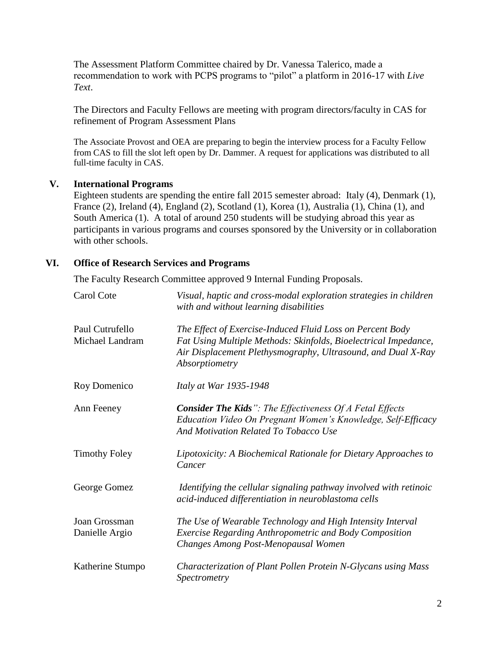The Assessment Platform Committee chaired by Dr. Vanessa Talerico, made a recommendation to work with PCPS programs to "pilot" a platform in 2016-17 with *Live Text*.

The Directors and Faculty Fellows are meeting with program directors/faculty in CAS for refinement of Program Assessment Plans

The Associate Provost and OEA are preparing to begin the interview process for a Faculty Fellow from CAS to fill the slot left open by Dr. Dammer. A request for applications was distributed to all full-time faculty in CAS.

## **V. International Programs**

Eighteen students are spending the entire fall 2015 semester abroad: Italy (4), Denmark (1), France (2), Ireland (4), England (2), Scotland (1), Korea (1), Australia (1), China (1), and South America (1). A total of around 250 students will be studying abroad this year as participants in various programs and courses sponsored by the University or in collaboration with other schools.

## **VI. Office of Research Services and Programs**

The Faculty Research Committee approved 9 Internal Funding Proposals.

| Carol Cote                         | Visual, haptic and cross-modal exploration strategies in children<br>with and without learning disabilities                                                                                                    |
|------------------------------------|----------------------------------------------------------------------------------------------------------------------------------------------------------------------------------------------------------------|
| Paul Cutrufello<br>Michael Landram | The Effect of Exercise-Induced Fluid Loss on Percent Body<br>Fat Using Multiple Methods: Skinfolds, Bioelectrical Impedance,<br>Air Displacement Plethysmography, Ultrasound, and Dual X-Ray<br>Absorptiometry |
| Roy Domenico                       | Italy at War 1935-1948                                                                                                                                                                                         |
| Ann Feeney                         | <b>Consider The Kids</b> ": The Effectiveness Of A Fetal Effects<br>Education Video On Pregnant Women's Knowledge, Self-Efficacy<br>And Motivation Related To Tobacco Use                                      |
| <b>Timothy Foley</b>               | Lipotoxicity: A Biochemical Rationale for Dietary Approaches to<br>Cancer                                                                                                                                      |
| George Gomez                       | Identifying the cellular signaling pathway involved with retinoic<br>acid-induced differentiation in neuroblastoma cells                                                                                       |
| Joan Grossman<br>Danielle Argio    | The Use of Wearable Technology and High Intensity Interval<br><b>Exercise Regarding Anthropometric and Body Composition</b><br>Changes Among Post-Menopausal Women                                             |
| Katherine Stumpo                   | Characterization of Plant Pollen Protein N-Glycans using Mass<br>Spectrometry                                                                                                                                  |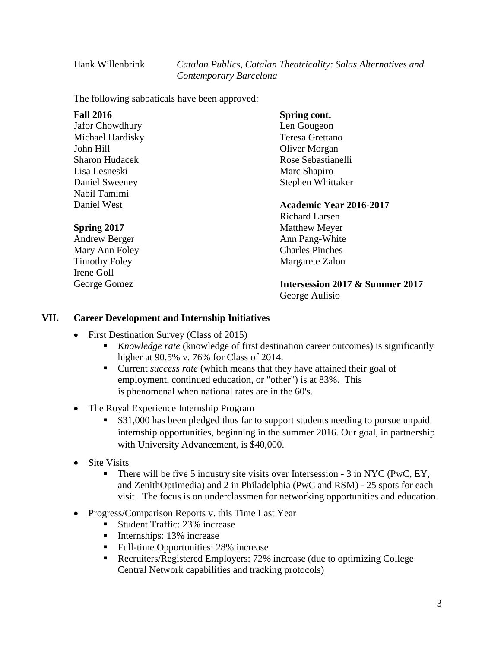Hank Willenbrink *Catalan Publics, Catalan Theatricality: Salas Alternatives and Contemporary Barcelona*

The following sabbaticals have been approved:

| <b>Fall 2016</b>       | Spring cont.                    |
|------------------------|---------------------------------|
| <b>Jafor Chowdhury</b> | Len Gougeon                     |
| Michael Hardisky       | Teresa Grettano                 |
| John Hill              | Oliver Morgan                   |
| <b>Sharon Hudacek</b>  | Rose Sebastianelli              |
| Lisa Lesneski          | Marc Shapiro                    |
| Daniel Sweeney         | Stephen Whittaker               |
| Nabil Tamimi           |                                 |
| Daniel West            | Academic Year 2016-2017         |
|                        | Richard Larsen                  |
| <b>Spring 2017</b>     | <b>Matthew Meyer</b>            |
| Andrew Berger          | Ann Pang-White                  |
| Mary Ann Foley         | <b>Charles Pinches</b>          |
| <b>Timothy Foley</b>   | Margarete Zalon                 |
| Irene Goll             |                                 |
| George Gomez           | Intersession 2017 & Summer 2017 |
|                        | George Aulisio                  |

### **VII. Career Development and Internship Initiatives**

- First Destination Survey (Class of 2015)
	- *Knowledge rate* (knowledge of first destination career outcomes) is significantly higher at 90.5% v. 76% for Class of 2014.
	- Current *success rate* (which means that they have attained their goal of employment, continued education, or "other") is at 83%. This is phenomenal when national rates are in the 60's.
- The Royal Experience Internship Program
	- **S31,000 has been pledged thus far to support students needing to pursue unpaid** internship opportunities, beginning in the summer 2016. Our goal, in partnership with University Advancement, is \$40,000.
- Site Visits
	- There will be five 5 industry site visits over Intersession 3 in NYC (PwC, EY, and ZenithOptimedia) and 2 in Philadelphia (PwC and RSM) - 25 spots for each visit. The focus is on underclassmen for networking opportunities and education.
- Progress/Comparison Reports v. this Time Last Year
	- Student Traffic: 23% increase
	- $\blacksquare$  Internships: 13% increase
	- Full-time Opportunities: 28% increase
	- Recruiters/Registered Employers: 72% increase (due to optimizing College Central Network capabilities and tracking protocols)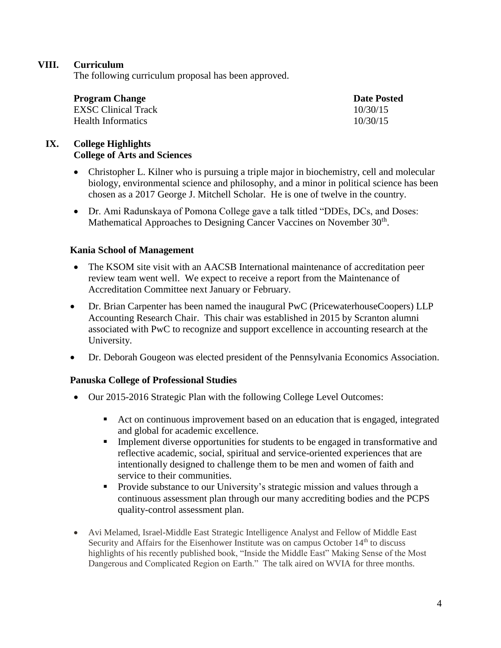## **VIII. Curriculum**

The following curriculum proposal has been approved.

| <b>Program Change</b> | <b>Date Posted</b> |  |
|-----------------------|--------------------|--|
| EXSC Clinical Track   | 10/30/15           |  |
| Health Informatics    | 10/30/15           |  |

# **IX. College Highlights College of Arts and Sciences**

- Christopher L. Kilner who is pursuing a triple major in biochemistry, cell and molecular biology, environmental science and philosophy, and a minor in political science has been chosen as a 2017 George J. Mitchell Scholar. He is one of twelve in the country.
- Dr. Ami Radunskaya of Pomona College gave a talk titled "DDEs, DCs, and Doses: Mathematical Approaches to Designing Cancer Vaccines on November 30<sup>th</sup>.

### **Kania School of Management**

- The KSOM site visit with an AACSB International maintenance of accreditation peer review team went well. We expect to receive a report from the Maintenance of Accreditation Committee next January or February.
- Dr. Brian Carpenter has been named the inaugural PwC (PricewaterhouseCoopers) LLP Accounting Research Chair. This chair was established in 2015 by Scranton alumni associated with PwC to recognize and support excellence in accounting research at the University.
- Dr. Deborah Gougeon was elected president of the Pennsylvania Economics Association.

## **Panuska College of Professional Studies**

- Our 2015-2016 Strategic Plan with the following College Level Outcomes:
	- Act on continuous improvement based on an education that is engaged, integrated and global for academic excellence.
	- Implement diverse opportunities for students to be engaged in transformative and reflective academic, social, spiritual and service-oriented experiences that are intentionally designed to challenge them to be men and women of faith and service to their communities.
	- **Provide substance to our University's strategic mission and values through a** continuous assessment plan through our many accrediting bodies and the PCPS quality-control assessment plan.
- Avi Melamed, Israel-Middle East Strategic Intelligence Analyst and Fellow of Middle East Security and Affairs for the Eisenhower Institute was on campus October 14<sup>th</sup> to discuss highlights of his recently published book, "Inside the Middle East" Making Sense of the Most Dangerous and Complicated Region on Earth." The talk aired on WVIA for three months.